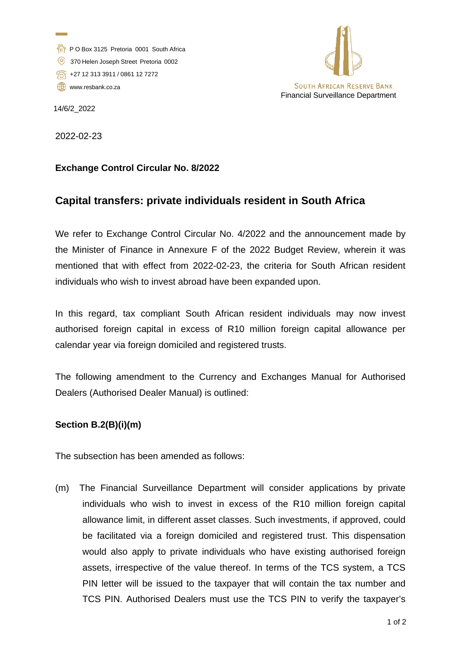- P O Box 3125 Pretoria 0001 South Africa
- 370 Helen Joseph Street Pretoria 0002
- +27 12 313 3911 / 0861 12 7272
- [www.resbank.co.za](http://www.resbank.co.za/)



14/6/2\_2022

2022-02-23

## **Exchange Control Circular No. 8/2022**

## **Capital transfers: private individuals resident in South Africa**

We refer to Exchange Control Circular No. 4/2022 and the announcement made by the Minister of Finance in Annexure F of the 2022 Budget Review, wherein it was mentioned that with effect from 2022-02-23, the criteria for South African resident individuals who wish to invest abroad have been expanded upon.

In this regard, tax compliant South African resident individuals may now invest authorised foreign capital in excess of R10 million foreign capital allowance per calendar year via foreign domiciled and registered trusts.

The following amendment to the Currency and Exchanges Manual for Authorised Dealers (Authorised Dealer Manual) is outlined:

## **Section B.2(B)(i)(m)**

The subsection has been amended as follows:

(m) The Financial Surveillance Department will consider applications by private individuals who wish to invest in excess of the R10 million foreign capital allowance limit, in different asset classes. Such investments, if approved, could be facilitated via a foreign domiciled and registered trust. This dispensation would also apply to private individuals who have existing authorised foreign assets, irrespective of the value thereof. In terms of the TCS system, a TCS PIN letter will be issued to the taxpayer that will contain the tax number and TCS PIN. Authorised Dealers must use the TCS PIN to verify the taxpayer's